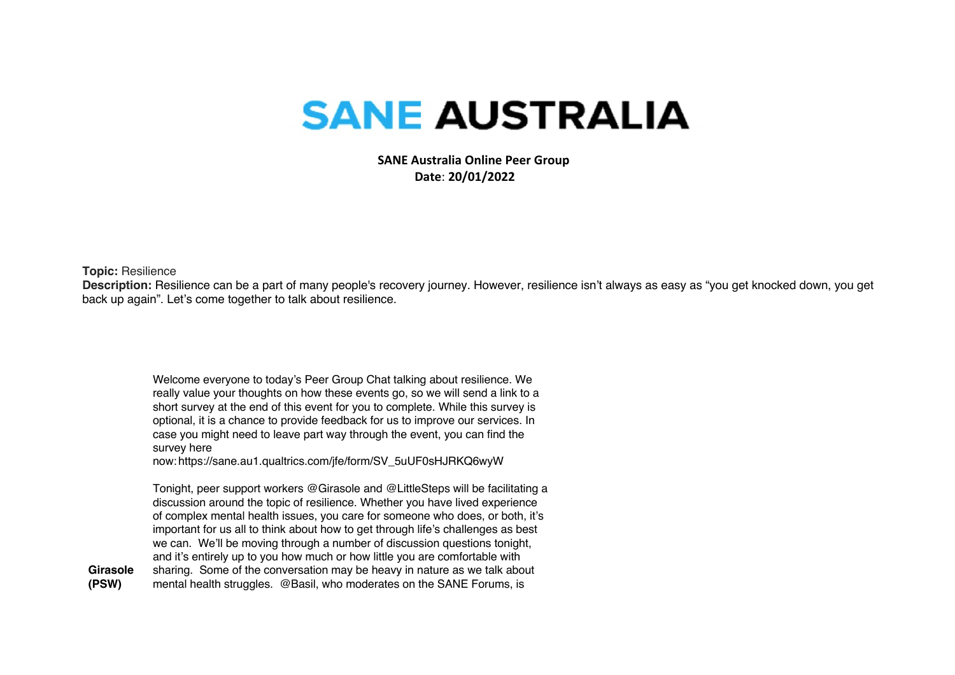## **SANE AUSTRALIA**

 **SANE Australia Online Peer Group Date**: **20/01/2022**

**Topic:** Resilience

**Girasole (PSW)**

**Description:** Resilience can be a part of many people's recovery journey. However, resilience isn't always as easy as "you get knocked down, you get back up again". Let's come together to talk about resilience.

Welcome everyone to today's Peer Group Chat talking about resilience. We really value your thoughts on how these events go, so we will send a link to a short survey at the end of this event for you to complete. While this survey is optional, it is a chance to provide feedback for us to improve our services. In case you might need to leave part way through the event, you can find the survey here

now:https://sane.au1.qualtrics.com/jfe/form/SV\_5uUF0sHJRKQ6wyW

Tonight, peer support workers @Girasole and @LittleSteps will be facilitating a discussion around the topic of resilience. Whether you have lived experience of complex mental health issues, you care for someone who does, or both, it's important for us all to think about how to get through life's challenges as best we can. We'll be moving through a number of discussion questions tonight, and it's entirely up to you how much or how little you are comfortable with sharing. Some of the conversation may be heavy in nature as we talk about mental health struggles. @Basil, who moderates on the SANE Forums, is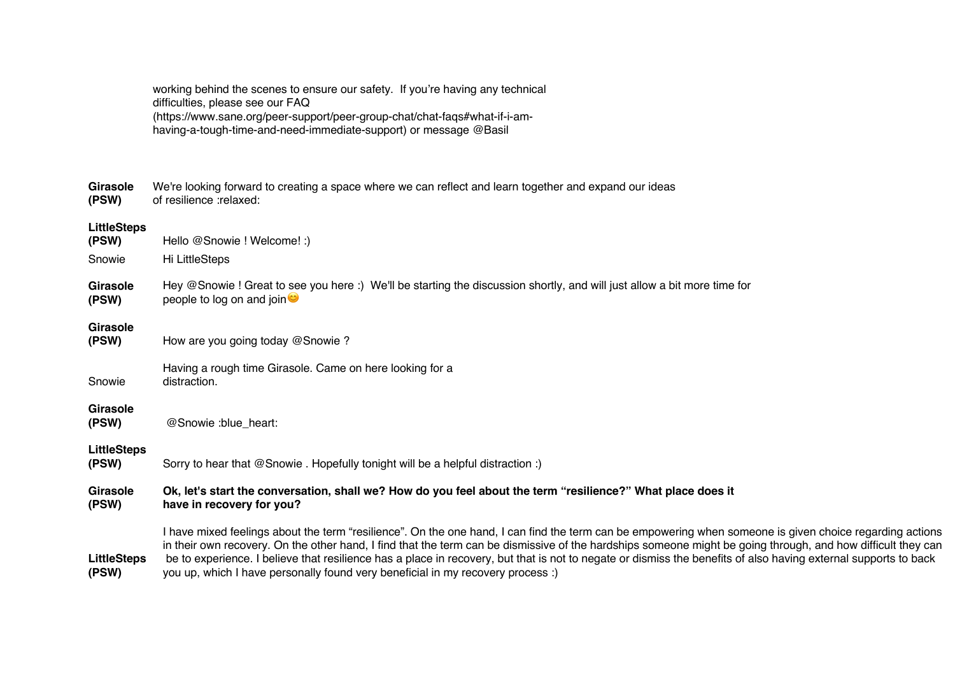working behind the scenes to ensure our safety. If you're having any technical difficulties, please see our FAQ (https://www.sane.org/peer-support/peer-group-chat/chat-faqs#what-if-i-amhaving-a-tough-time-and-need-immediate-support) or message @Basil

**Girasole (PSW)** We're looking forward to creating a space where we can reflect and learn together and expand our ideas of resilience :relaxed: **LittleSteps Hello @Snowie ! Welcome! :)** Snowie Hi LittleSteps **Girasole (PSW)** Hey @Snowie ! Great to see you here :) We'll be starting the discussion shortly, and will just allow a bit more time for people to log on and join **Girasole (PSW)** How are you going today @Snowie ? Snowie Having a rough time Girasole. Came on here looking for a distraction. **Girasole (PSW)** @Snowie :blue\_heart: **LittleSteps**  Sorry to hear that @Snowie . Hopefully tonight will be a helpful distraction :) **Girasole (PSW) Ok, let's start the conversation, shall we? How do you feel about the term "resilience?" What place does it have in recovery for you? LittleSteps**  I have mixed feelings about the term "resilience". On the one hand, I can find the term can be empowering when someone is given choice regarding actions in their own recovery. On the other hand, I find that the term can be dismissive of the hardships someone might be going through, and how difficult they can be to experience. I believe that resilience has a place in recovery, but that is not to negate or dismiss the benefits of also having external supports to back

**(PSW)** you up, which I have personally found very beneficial in my recovery process :)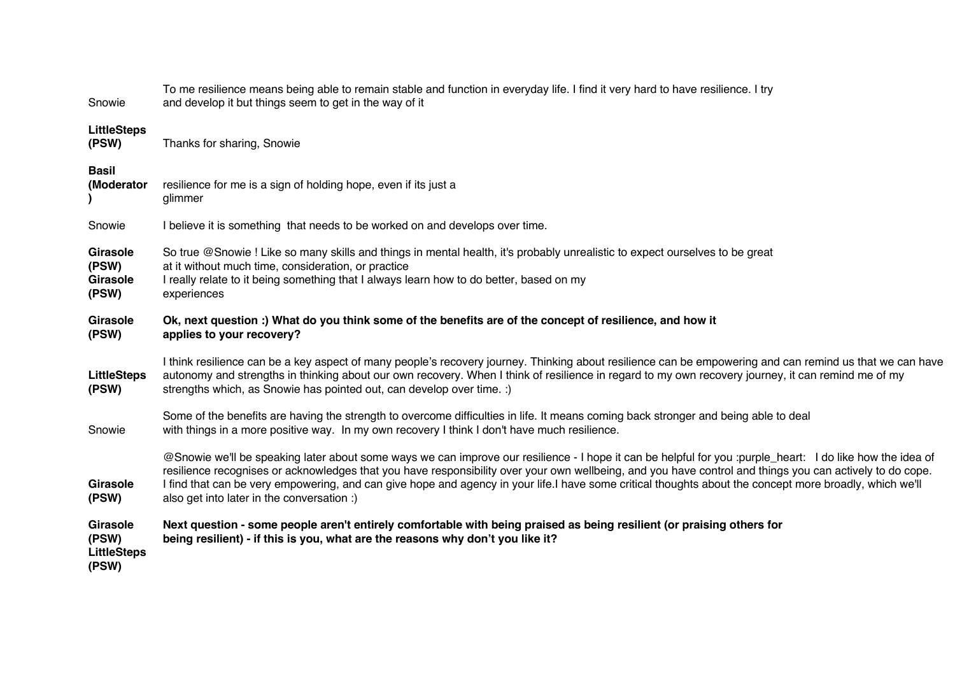| Snowie                                           | To me resilience means being able to remain stable and function in everyday life. I find it very hard to have resilience. I try<br>and develop it but things seem to get in the way of it                                                                                                                                                                                                                                                                                                                                      |  |
|--------------------------------------------------|--------------------------------------------------------------------------------------------------------------------------------------------------------------------------------------------------------------------------------------------------------------------------------------------------------------------------------------------------------------------------------------------------------------------------------------------------------------------------------------------------------------------------------|--|
| <b>LittleSteps</b><br>(PSW)                      | Thanks for sharing, Snowie                                                                                                                                                                                                                                                                                                                                                                                                                                                                                                     |  |
| <b>Basil</b><br>(Moderator                       | resilience for me is a sign of holding hope, even if its just a<br>glimmer                                                                                                                                                                                                                                                                                                                                                                                                                                                     |  |
| Snowie                                           | I believe it is something that needs to be worked on and develops over time.                                                                                                                                                                                                                                                                                                                                                                                                                                                   |  |
| Girasole<br>(PSW)<br>Girasole<br>(PSW)           | So true @Snowie ! Like so many skills and things in mental health, it's probably unrealistic to expect ourselves to be great<br>at it without much time, consideration, or practice<br>I really relate to it being something that I always learn how to do better, based on my<br>experiences                                                                                                                                                                                                                                  |  |
| Girasole<br>(PSW)                                | Ok, next question :) What do you think some of the benefits are of the concept of resilience, and how it<br>applies to your recovery?                                                                                                                                                                                                                                                                                                                                                                                          |  |
| <b>LittleSteps</b><br>(PSW)                      | I think resilience can be a key aspect of many people's recovery journey. Thinking about resilience can be empowering and can remind us that we can have<br>autonomy and strengths in thinking about our own recovery. When I think of resilience in regard to my own recovery journey, it can remind me of my<br>strengths which, as Snowie has pointed out, can develop over time. :)                                                                                                                                        |  |
| Snowie                                           | Some of the benefits are having the strength to overcome difficulties in life. It means coming back stronger and being able to deal<br>with things in a more positive way. In my own recovery I think I don't have much resilience.                                                                                                                                                                                                                                                                                            |  |
| Girasole<br>(PSW)                                | @Snowie we'll be speaking later about some ways we can improve our resilience - I hope it can be helpful for you :purple_heart: I do like how the idea of<br>resilience recognises or acknowledges that you have responsibility over your own wellbeing, and you have control and things you can actively to do cope.<br>I find that can be very empowering, and can give hope and agency in your life.I have some critical thoughts about the concept more broadly, which we'll<br>also get into later in the conversation :) |  |
| Girasole<br>(PSW)<br><b>LittleSteps</b><br>(PSW) | Next question - some people aren't entirely comfortable with being praised as being resilient (or praising others for<br>being resilient) - if this is you, what are the reasons why don't you like it?                                                                                                                                                                                                                                                                                                                        |  |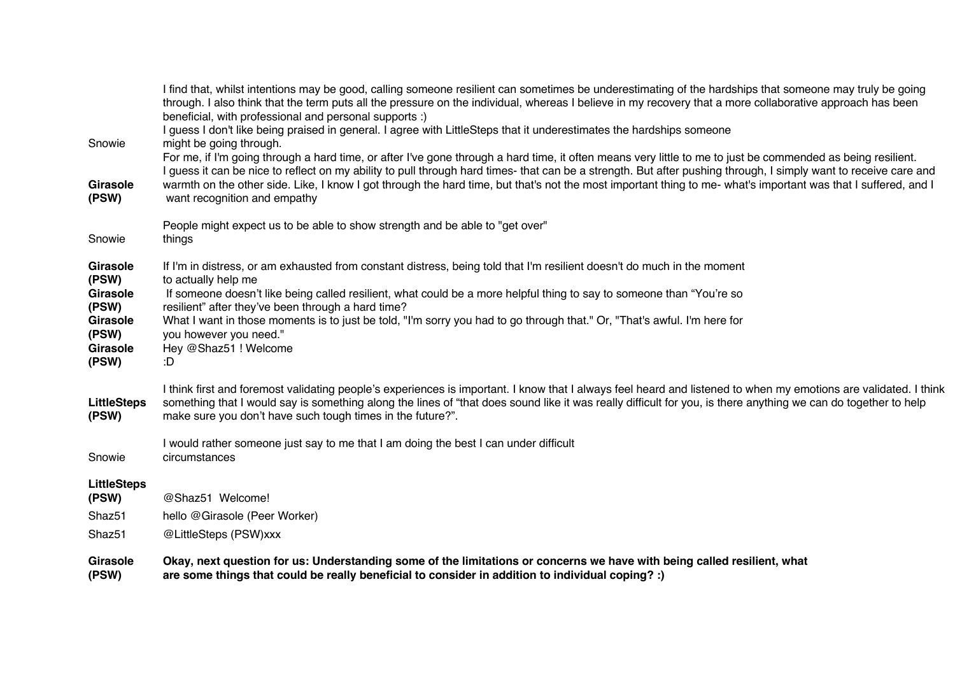|                                   | I find that, whilst intentions may be good, calling someone resilient can sometimes be underestimating of the hardships that someone may truly be going<br>through. I also think that the term puts all the pressure on the individual, whereas I believe in my recovery that a more collaborative approach has been<br>beneficial, with professional and personal supports :)                   |
|-----------------------------------|--------------------------------------------------------------------------------------------------------------------------------------------------------------------------------------------------------------------------------------------------------------------------------------------------------------------------------------------------------------------------------------------------|
| Snowie                            | I guess I don't like being praised in general. I agree with LittleSteps that it underestimates the hardships someone<br>might be going through.<br>For me, if I'm going through a hard time, or after I've gone through a hard time, it often means very little to me to just be commended as being resilient.                                                                                   |
| <b>Girasole</b><br>(PSW)          | I guess it can be nice to reflect on my ability to pull through hard times- that can be a strength. But after pushing through, I simply want to receive care and<br>warmth on the other side. Like, I know I got through the hard time, but that's not the most important thing to me- what's important was that I suffered, and I<br>want recognition and empathy                               |
| Snowie                            | People might expect us to be able to show strength and be able to "get over"<br>things                                                                                                                                                                                                                                                                                                           |
| <b>Girasole</b><br>(PSW)          | If I'm in distress, or am exhausted from constant distress, being told that I'm resilient doesn't do much in the moment<br>to actually help me                                                                                                                                                                                                                                                   |
| <b>Girasole</b><br>(PSW)          | If someone doesn't like being called resilient, what could be a more helpful thing to say to someone than "You're so<br>resilient" after they've been through a hard time?                                                                                                                                                                                                                       |
| Girasole                          | What I want in those moments is to just be told, "I'm sorry you had to go through that." Or, "That's awful. I'm here for                                                                                                                                                                                                                                                                         |
| (PSW)<br><b>Girasole</b><br>(PSW) | you however you need."<br>Hey @Shaz51 ! Welcome<br>:D                                                                                                                                                                                                                                                                                                                                            |
| <b>LittleSteps</b><br>(PSW)       | I think first and foremost validating people's experiences is important. I know that I always feel heard and listened to when my emotions are validated. I think<br>something that I would say is something along the lines of "that does sound like it was really difficult for you, is there anything we can do together to help<br>make sure you don't have such tough times in the future?". |
| Snowie                            | I would rather someone just say to me that I am doing the best I can under difficult<br>circumstances                                                                                                                                                                                                                                                                                            |
| <b>LittleSteps</b><br>(PSW)       | @Shaz51 Welcome!                                                                                                                                                                                                                                                                                                                                                                                 |
| Shaz51                            | hello @Girasole (Peer Worker)                                                                                                                                                                                                                                                                                                                                                                    |
| Shaz51                            | @LittleSteps (PSW)xxx                                                                                                                                                                                                                                                                                                                                                                            |
| Girasole<br>(PSW)                 | Okay, next question for us: Understanding some of the limitations or concerns we have with being called resilient, what<br>are some things that could be really beneficial to consider in addition to individual coping? :)                                                                                                                                                                      |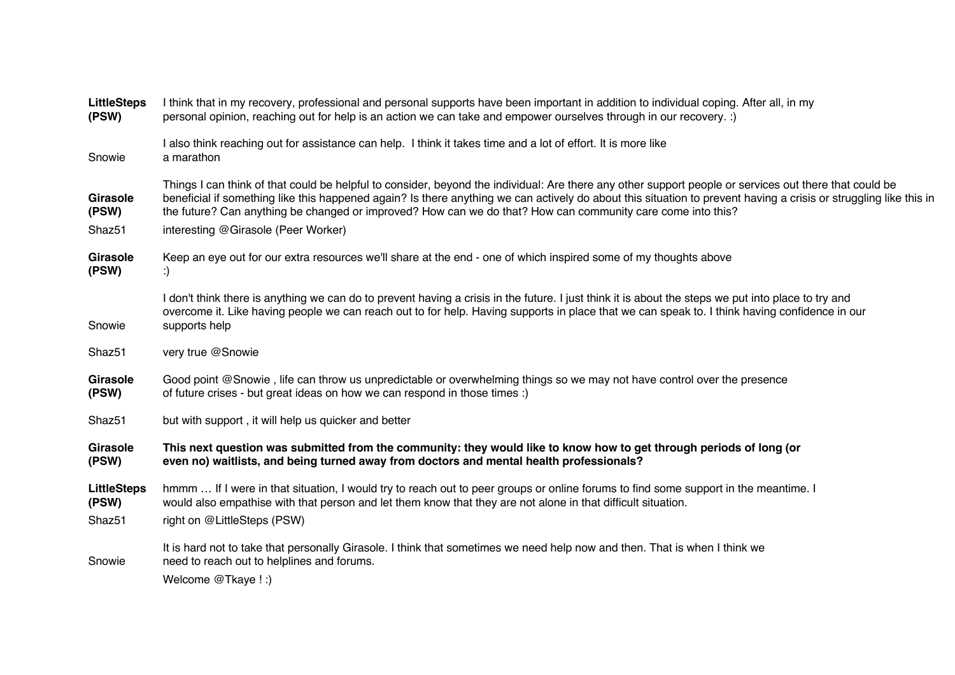| <b>LittleSteps</b><br>(PSW)           | I think that in my recovery, professional and personal supports have been important in addition to individual coping. After all, in my<br>personal opinion, reaching out for help is an action we can take and empower ourselves through in our recovery. :)                                                                                                                                                                               |
|---------------------------------------|--------------------------------------------------------------------------------------------------------------------------------------------------------------------------------------------------------------------------------------------------------------------------------------------------------------------------------------------------------------------------------------------------------------------------------------------|
| Snowie                                | I also think reaching out for assistance can help. I think it takes time and a lot of effort. It is more like<br>a marathon                                                                                                                                                                                                                                                                                                                |
| Girasole<br>(PSW)                     | Things I can think of that could be helpful to consider, beyond the individual: Are there any other support people or services out there that could be<br>beneficial if something like this happened again? Is there anything we can actively do about this situation to prevent having a crisis or struggling like this in<br>the future? Can anything be changed or improved? How can we do that? How can community care come into this? |
| Shaz51                                | interesting @Girasole (Peer Worker)                                                                                                                                                                                                                                                                                                                                                                                                        |
| Girasole<br>(PSW)                     | Keep an eye out for our extra resources we'll share at the end - one of which inspired some of my thoughts above<br>:)                                                                                                                                                                                                                                                                                                                     |
| Snowie                                | I don't think there is anything we can do to prevent having a crisis in the future. I just think it is about the steps we put into place to try and<br>overcome it. Like having people we can reach out to for help. Having supports in place that we can speak to. I think having confidence in our<br>supports help                                                                                                                      |
| Shaz51                                | very true @Snowie                                                                                                                                                                                                                                                                                                                                                                                                                          |
| <b>Girasole</b><br>(PSW)              | Good point @Snowie, life can throw us unpredictable or overwhelming things so we may not have control over the presence<br>of future crises - but great ideas on how we can respond in those times :)                                                                                                                                                                                                                                      |
| Shaz51                                | but with support, it will help us quicker and better                                                                                                                                                                                                                                                                                                                                                                                       |
| Girasole<br>(PSW)                     | This next question was submitted from the community: they would like to know how to get through periods of long (or<br>even no) waitlists, and being turned away from doctors and mental health professionals?                                                                                                                                                                                                                             |
| <b>LittleSteps</b><br>(PSW)<br>Shaz51 | hmmm  If I were in that situation, I would try to reach out to peer groups or online forums to find some support in the meantime. I<br>would also empathise with that person and let them know that they are not alone in that difficult situation.<br>right on @LittleSteps (PSW)                                                                                                                                                         |
| Snowie                                | It is hard not to take that personally Girasole. I think that sometimes we need help now and then. That is when I think we<br>need to reach out to helplines and forums.<br>Welcome @Tkaye ! :)                                                                                                                                                                                                                                            |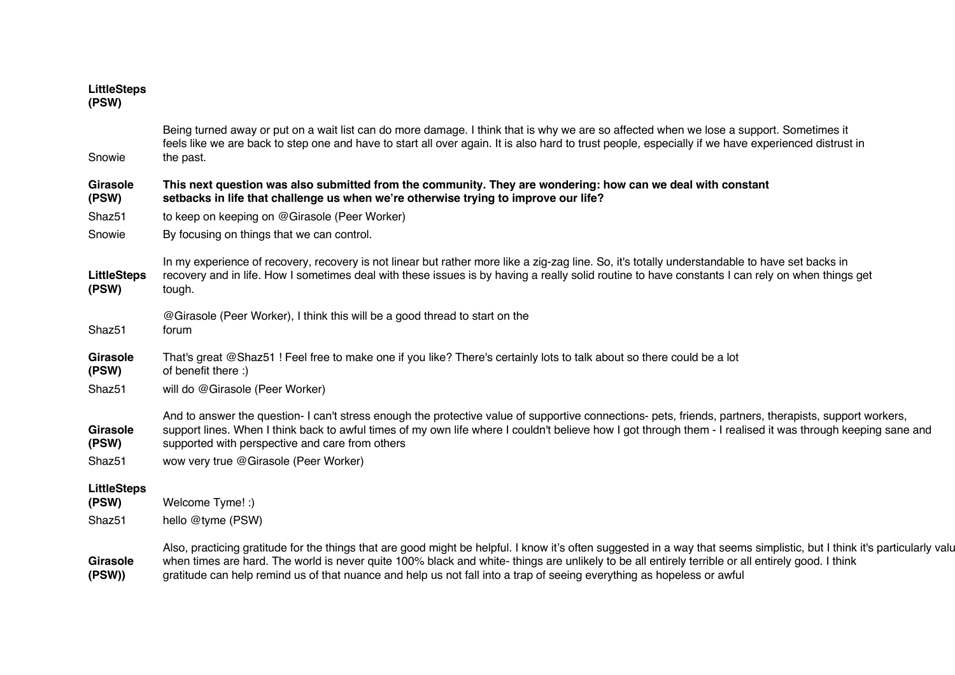## **LittleSteps (PSW)**

| Snowie                      | Being turned away or put on a wait list can do more damage. I think that is why we are so affected when we lose a support. Sometimes it<br>feels like we are back to step one and have to start all over again. It is also hard to trust people, especially if we have experienced distrust in<br>the past.                                                               |
|-----------------------------|---------------------------------------------------------------------------------------------------------------------------------------------------------------------------------------------------------------------------------------------------------------------------------------------------------------------------------------------------------------------------|
| Girasole<br>(PSW)           | This next question was also submitted from the community. They are wondering: how can we deal with constant<br>setbacks in life that challenge us when we're otherwise trying to improve our life?                                                                                                                                                                        |
| Shaz <sub>51</sub>          | to keep on keeping on @Girasole (Peer Worker)                                                                                                                                                                                                                                                                                                                             |
| Snowie                      | By focusing on things that we can control.                                                                                                                                                                                                                                                                                                                                |
| <b>LittleSteps</b><br>(PSW) | In my experience of recovery, recovery is not linear but rather more like a zig-zag line. So, it's totally understandable to have set backs in<br>recovery and in life. How I sometimes deal with these issues is by having a really solid routine to have constants I can rely on when things get<br>tough.                                                              |
| Shaz51                      | @Girasole (Peer Worker), I think this will be a good thread to start on the<br>forum                                                                                                                                                                                                                                                                                      |
| Girasole<br>(PSW)           | That's great @Shaz51 ! Feel free to make one if you like? There's certainly lots to talk about so there could be a lot<br>of benefit there :)                                                                                                                                                                                                                             |
| Shaz51                      | will do @Girasole (Peer Worker)                                                                                                                                                                                                                                                                                                                                           |
| Girasole<br>(PSW)           | And to answer the question- I can't stress enough the protective value of supportive connections- pets, friends, partners, therapists, support workers,<br>support lines. When I think back to awful times of my own life where I couldn't believe how I got through them - I realised it was through keeping sane and<br>supported with perspective and care from others |
| Shaz <sub>51</sub>          | wow very true @Girasole (Peer Worker)                                                                                                                                                                                                                                                                                                                                     |
| <b>LittleSteps</b><br>(PSW) | Welcome Tyme!:)                                                                                                                                                                                                                                                                                                                                                           |
| Shaz <sub>51</sub>          | hello @tyme (PSW)                                                                                                                                                                                                                                                                                                                                                         |
| Girasole                    | Also, practicing gratitude for the things that are good might be helpful. I know it's often suggested in a way that seems simplistic, but I think it's particularly valu<br>when times are hard. The world is never quite 100% black and white-things are unlikely to be all entirely terrible or all entirely good. I think                                              |

**(PSW))** gratitude can help remind us of that nuance and help us not fall into a trap of seeing everything as hopeless or awful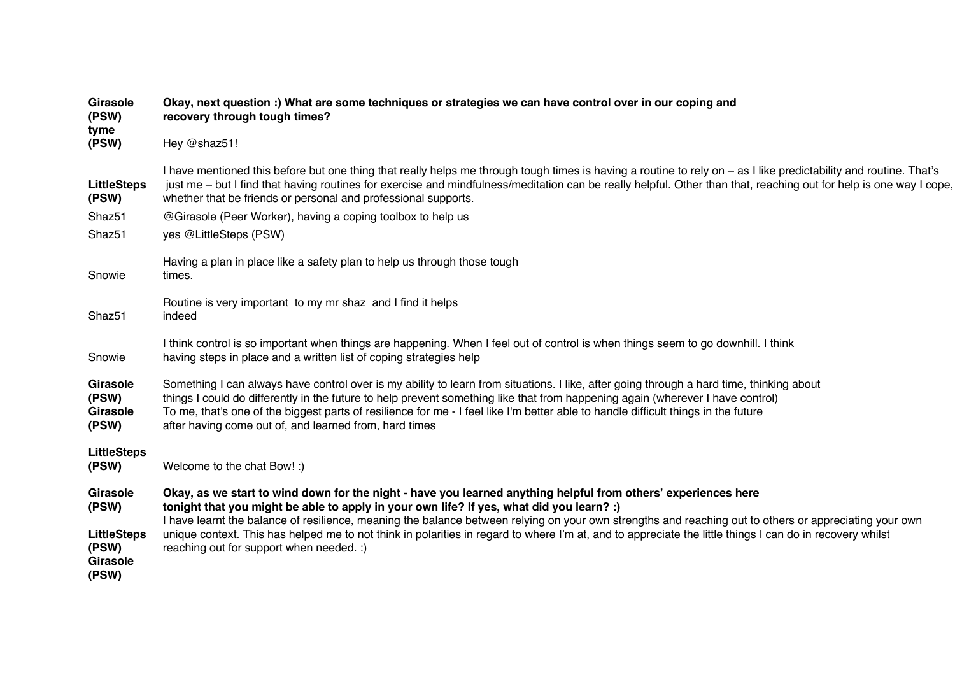| <b>Girasole</b><br>(PSW)<br>tyme                 | Okay, next question :) What are some techniques or strategies we can have control over in our coping and<br>recovery through tough times?                                                                                                                                                                                                                                                                                                                                  |
|--------------------------------------------------|----------------------------------------------------------------------------------------------------------------------------------------------------------------------------------------------------------------------------------------------------------------------------------------------------------------------------------------------------------------------------------------------------------------------------------------------------------------------------|
| (PSW)                                            | Hey @shaz51!                                                                                                                                                                                                                                                                                                                                                                                                                                                               |
| <b>LittleSteps</b><br>(PSW)                      | I have mentioned this before but one thing that really helps me through tough times is having a routine to rely on – as I like predictability and routine. That's<br>just me – but I find that having routines for exercise and mindfulness/meditation can be really helpful. Other than that, reaching out for help is one way I cope,<br>whether that be friends or personal and professional supports.                                                                  |
| Shaz51                                           | @Girasole (Peer Worker), having a coping toolbox to help us                                                                                                                                                                                                                                                                                                                                                                                                                |
| Shaz51                                           | yes @LittleSteps (PSW)                                                                                                                                                                                                                                                                                                                                                                                                                                                     |
| Snowie                                           | Having a plan in place like a safety plan to help us through those tough<br>times.                                                                                                                                                                                                                                                                                                                                                                                         |
| Shaz51                                           | Routine is very important to my mr shaz and I find it helps<br>indeed                                                                                                                                                                                                                                                                                                                                                                                                      |
| Snowie                                           | I think control is so important when things are happening. When I feel out of control is when things seem to go downhill. I think<br>having steps in place and a written list of coping strategies help                                                                                                                                                                                                                                                                    |
| Girasole<br>(PSW)<br><b>Girasole</b><br>(PSW)    | Something I can always have control over is my ability to learn from situations. I like, after going through a hard time, thinking about<br>things I could do differently in the future to help prevent something like that from happening again (wherever I have control)<br>To me, that's one of the biggest parts of resilience for me - I feel like I'm better able to handle difficult things in the future<br>after having come out of, and learned from, hard times |
| <b>LittleSteps</b><br>(PSW)                      | Welcome to the chat Bow! :)                                                                                                                                                                                                                                                                                                                                                                                                                                                |
| Girasole<br>(PSW)                                | Okay, as we start to wind down for the night - have you learned anything helpful from others' experiences here<br>tonight that you might be able to apply in your own life? If yes, what did you learn? :)<br>I have learnt the balance of resilience, meaning the balance between relying on your own strengths and reaching out to others or appreciating your own                                                                                                       |
| <b>LittleSteps</b><br>(PSW)<br>Girasole<br>(PSW) | unique context. This has helped me to not think in polarities in regard to where I'm at, and to appreciate the little things I can do in recovery whilst<br>reaching out for support when needed. :)                                                                                                                                                                                                                                                                       |